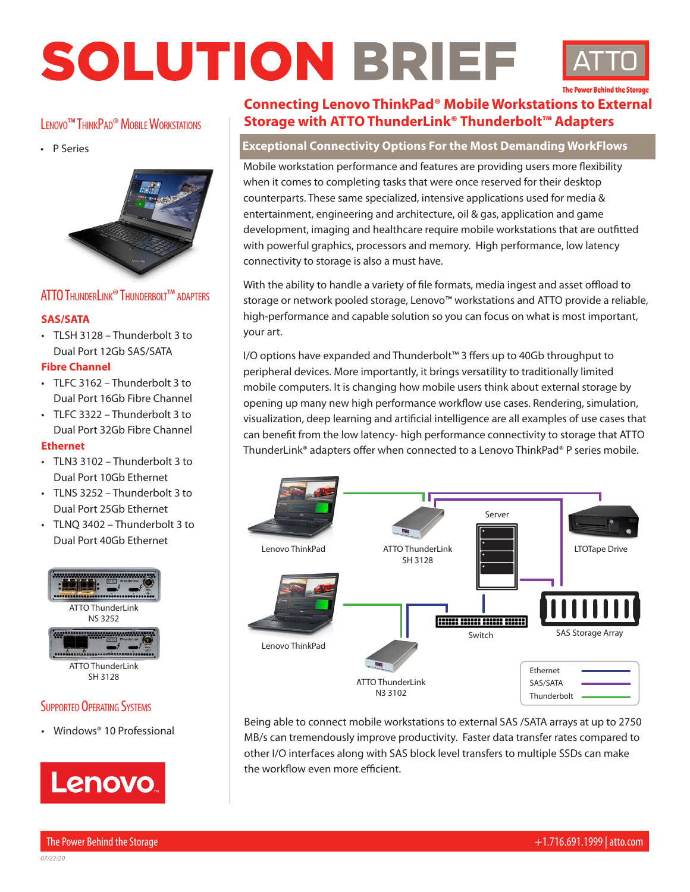# SOLUTION BRIEF



## Lenovo™ ThinkPad® Mobile Workstations

• P Series



## ATTO ThunderLink® Thunderbolt™ adapters

### **SAS/SATA**

• TLSH 3128 – Thunderbolt 3 to Dual Port 12Gb SAS/SATA

### **Fibre Channel**

- TLFC 3162 Thunderbolt 3 to Dual Port 16Gb Fibre Channel
- TLFC 3322 Thunderbolt 3 to Dual Port 32Gb Fibre Channel

### **Ethernet**

- TLN3 3102 Thunderbolt 3 to Dual Port 10Gb Ethernet
- TLNS 3252 Thunderbolt 3 to Dual Port 25Gb Ethernet
- TLNQ 3402 Thunderbolt 3 to Dual Port 40Gb Ethernet



• Windows® 10 Professional



## **Connecting Lenovo ThinkPad® Mobile Workstations to External Storage with ATTO ThunderLink® Thunderbolt™ Adapters**

## **Exceptional Connectivity Options For the Most Demanding WorkFlows**

Mobile workstation performance and features are providing users more flexibility when it comes to completing tasks that were once reserved for their desktop counterparts. These same specialized, intensive applications used for media & entertainment, engineering and architecture, oil & gas, application and game development, imaging and healthcare require mobile workstations that are outfitted with powerful graphics, processors and memory. High performance, low latency connectivity to storage is also a must have.

With the ability to handle a variety of file formats, media ingest and asset offload to storage or network pooled storage, Lenovo™ workstations and ATTO provide a reliable, high-performance and capable solution so you can focus on what is most important, your art.

I/O options have expanded and Thunderbolt™ 3 ffers up to 40Gb throughput to peripheral devices. More importantly, it brings versatility to traditionally limited mobile computers. It is changing how mobile users think about external storage by opening up many new high performance workflow use cases. Rendering, simulation, visualization, deep learning and artificial intelligence are all examples of use cases that can benefit from the low latency- high performance connectivity to storage that ATTO ThunderLink® adapters offer when connected to a Lenovo ThinkPad® P series mobile.



Being able to connect mobile workstations to external SAS /SATA arrays at up to 2750 MB/s can tremendously improve productivity. Faster data transfer rates compared to other I/O interfaces along with SAS block level transfers to multiple SSDs can make the workflow even more efficient.